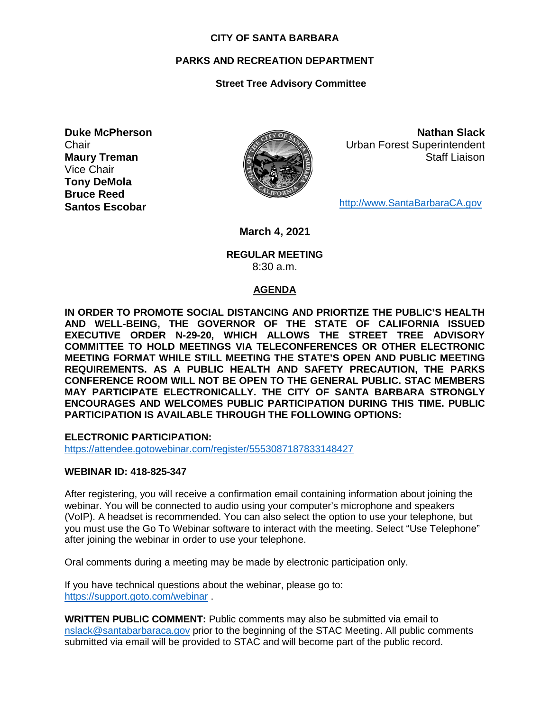#### **CITY OF SANTA BARBARA**

## **PARKS AND RECREATION DEPARTMENT**

## **Street Tree Advisory Committee**

**Duke McPherson Chair Maury Treman** Vice Chair **Tony DeMola Bruce Reed Santos Escobar**



**Nathan Slack** Urban Forest Superintendent Staff Liaison

[http://www.SantaBarbaraCA.gov](http://www.santabarbaraca.gov/)

**March 4, 2021**

### **REGULAR MEETING** 8:30 a.m.

#### **AGENDA**

**IN ORDER TO PROMOTE SOCIAL DISTANCING AND PRIORTIZE THE PUBLIC'S HEALTH AND WELL-BEING, THE GOVERNOR OF THE STATE OF CALIFORNIA ISSUED EXECUTIVE ORDER N-29-20, WHICH ALLOWS THE STREET TREE ADVISORY COMMITTEE TO HOLD MEETINGS VIA TELECONFERENCES OR OTHER ELECTRONIC MEETING FORMAT WHILE STILL MEETING THE STATE'S OPEN AND PUBLIC MEETING REQUIREMENTS. AS A PUBLIC HEALTH AND SAFETY PRECAUTION, THE PARKS CONFERENCE ROOM WILL NOT BE OPEN TO THE GENERAL PUBLIC. STAC MEMBERS MAY PARTICIPATE ELECTRONICALLY. THE CITY OF SANTA BARBARA STRONGLY ENCOURAGES AND WELCOMES PUBLIC PARTICIPATION DURING THIS TIME. PUBLIC PARTICIPATION IS AVAILABLE THROUGH THE FOLLOWING OPTIONS:**

**ELECTRONIC PARTICIPATION:** 

<https://attendee.gotowebinar.com/register/5553087187833148427>

#### **WEBINAR ID: 418-825-347**

After registering, you will receive a confirmation email containing information about joining the webinar. You will be connected to audio using your computer's microphone and speakers (VoIP). A headset is recommended. You can also select the option to use your telephone, but you must use the Go To Webinar software to interact with the meeting. Select "Use Telephone" after joining the webinar in order to use your telephone.

Oral comments during a meeting may be made by electronic participation only.

If you have technical questions about the webinar, please go to: <https://support.goto.com/webinar> .

**WRITTEN PUBLIC COMMENT:** Public comments may also be submitted via email to [nslack@santabarbaraca.gov](mailto:nslack@santabarbaraca.gov) prior to the beginning of the STAC Meeting. All public comments submitted via email will be provided to STAC and will become part of the public record.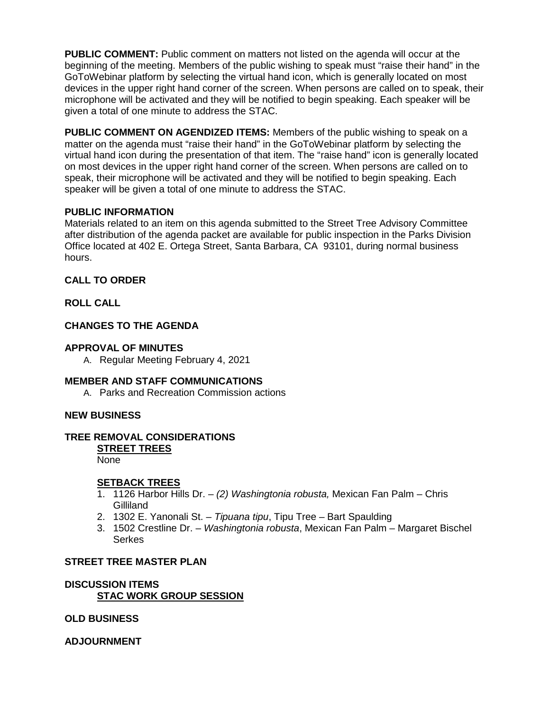**PUBLIC COMMENT:** Public comment on matters not listed on the agenda will occur at the beginning of the meeting. Members of the public wishing to speak must "raise their hand" in the GoToWebinar platform by selecting the virtual hand icon, which is generally located on most devices in the upper right hand corner of the screen. When persons are called on to speak, their microphone will be activated and they will be notified to begin speaking. Each speaker will be given a total of one minute to address the STAC.

**PUBLIC COMMENT ON AGENDIZED ITEMS:** Members of the public wishing to speak on a matter on the agenda must "raise their hand" in the GoToWebinar platform by selecting the virtual hand icon during the presentation of that item. The "raise hand" icon is generally located on most devices in the upper right hand corner of the screen. When persons are called on to speak, their microphone will be activated and they will be notified to begin speaking. Each speaker will be given a total of one minute to address the STAC.

# **PUBLIC INFORMATION**

Materials related to an item on this agenda submitted to the Street Tree Advisory Committee after distribution of the agenda packet are available for public inspection in the Parks Division Office located at 402 E. Ortega Street, Santa Barbara, CA 93101, during normal business hours.

## **CALL TO ORDER**

**ROLL CALL**

# **CHANGES TO THE AGENDA**

## **APPROVAL OF MINUTES**

A. Regular Meeting February 4, 2021

# **MEMBER AND STAFF COMMUNICATIONS**

A. Parks and Recreation Commission actions

# **NEW BUSINESS**

# **TREE REMOVAL CONSIDERATIONS**

**STREET TREES**

None

#### **SETBACK TREES**

- 1. 1126 Harbor Hills Dr. *(2) Washingtonia robusta,* Mexican Fan Palm Chris Gilliland
- 2. 1302 E. Yanonali St. *Tipuana tipu*, Tipu Tree Bart Spaulding
- 3. 1502 Crestline Dr. *Washingtonia robusta*, Mexican Fan Palm Margaret Bischel **Serkes**

#### **STREET TREE MASTER PLAN**

# **DISCUSSION ITEMS STAC WORK GROUP SESSION**

**OLD BUSINESS** 

**ADJOURNMENT**